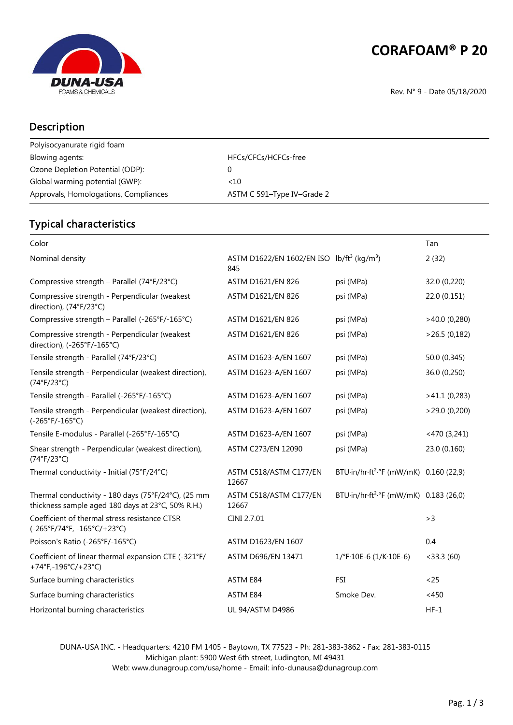

# **CORAFOAM® P 20**

Rev. N° 9 - Date 05/18/2020

#### Description

| Polyisocyanurate rigid foam           |                            |
|---------------------------------------|----------------------------|
| Blowing agents:                       | HFCs/CFCs/HCFCs-free       |
| Ozone Depletion Potential (ODP):      |                            |
| Global warming potential (GWP):       | <10                        |
| Approvals, Homologations, Compliances | ASTM C 591–Type IV–Grade 2 |

### Typical characteristics

| Color                                                                                                    |                                                                          |                                                    | Tan             |
|----------------------------------------------------------------------------------------------------------|--------------------------------------------------------------------------|----------------------------------------------------|-----------------|
| Nominal density                                                                                          | ASTM D1622/EN 1602/EN ISO lb/ft <sup>3</sup> (kg/m <sup>3</sup> )<br>845 |                                                    | 2(32)           |
| Compressive strength - Parallel (74°F/23°C)                                                              | <b>ASTM D1621/EN 826</b>                                                 | psi (MPa)                                          | 32.0 (0,220)    |
| Compressive strength - Perpendicular (weakest<br>direction), (74°F/23°C)                                 | ASTM D1621/EN 826                                                        | psi (MPa)                                          | 22.0 (0,151)    |
| Compressive strength - Parallel (-265°F/-165°C)                                                          | ASTM D1621/EN 826                                                        | psi (MPa)                                          | $>40.0$ (0,280) |
| Compressive strength - Perpendicular (weakest<br>direction), (-265°F/-165°C)                             | ASTM D1621/EN 826                                                        | psi (MPa)                                          | >26.5(0,182)    |
| Tensile strength - Parallel (74°F/23°C)                                                                  | ASTM D1623-A/EN 1607                                                     | psi (MPa)                                          | 50.0 (0,345)    |
| Tensile strength - Perpendicular (weakest direction),<br>(74°F/23°C)                                     | ASTM D1623-A/EN 1607                                                     | psi (MPa)                                          | 36.0 (0,250)    |
| Tensile strength - Parallel (-265°F/-165°C)                                                              | ASTM D1623-A/EN 1607                                                     | psi (MPa)                                          | >41.1(0,283)    |
| Tensile strength - Perpendicular (weakest direction),<br>$(-265°F/-165°C)$                               | ASTM D1623-A/EN 1607                                                     | psi (MPa)                                          | >29.0(0,200)    |
| Tensile E-modulus - Parallel (-265°F/-165°C)                                                             | ASTM D1623-A/EN 1607                                                     | psi (MPa)                                          | $<$ 470 (3,241) |
| Shear strength - Perpendicular (weakest direction),<br>(74°F/23°C)                                       | ASTM C273/EN 12090                                                       | psi (MPa)                                          | 23.0 (0,160)    |
| Thermal conductivity - Initial (75°F/24°C)                                                               | ASTM C518/ASTM C177/EN<br>12667                                          | BTU·in/hr·ft <sup>2</sup> ·°F (mW/mK) 0.160 (22,9) |                 |
| Thermal conductivity - 180 days (75°F/24°C), (25 mm<br>thickness sample aged 180 days at 23°C, 50% R.H.) | ASTM C518/ASTM C177/EN<br>12667                                          | BTU·in/hr·ft <sup>2</sup> ·°F (mW/mK) 0.183 (26,0) |                 |
| Coefficient of thermal stress resistance CTSR<br>(-265°F/74°F, -165°C/+23°C)                             | CINI 2.7.01                                                              |                                                    | >3              |
| Poisson's Ratio (-265°F/-165°C)                                                                          | ASTM D1623/EN 1607                                                       |                                                    | 0.4             |
| Coefficient of linear thermal expansion CTE (-321°F/<br>+74°F,-196°C/+23°C)                              | ASTM D696/EN 13471                                                       | $1$ /°F·10E-6 (1/K·10E-6)                          | $<$ 33.3 (60)   |
| Surface burning characteristics                                                                          | ASTM E84                                                                 | FSI                                                | $25$            |
| Surface burning characteristics                                                                          | ASTM E84                                                                 | Smoke Dev.                                         | < 450           |
| Horizontal burning characteristics                                                                       | <b>UL 94/ASTM D4986</b>                                                  |                                                    | $HF-1$          |

DUNA-USA INC. - Headquarters: 4210 FM 1405 - Baytown, TX 77523 - Ph: 281-383-3862 - Fax: 281-383-0115 Michigan plant: 5900 West 6th street, Ludington, MI 49431 Web: www.dunagroup.com/usa/home - Email: info-dunausa@dunagroup.com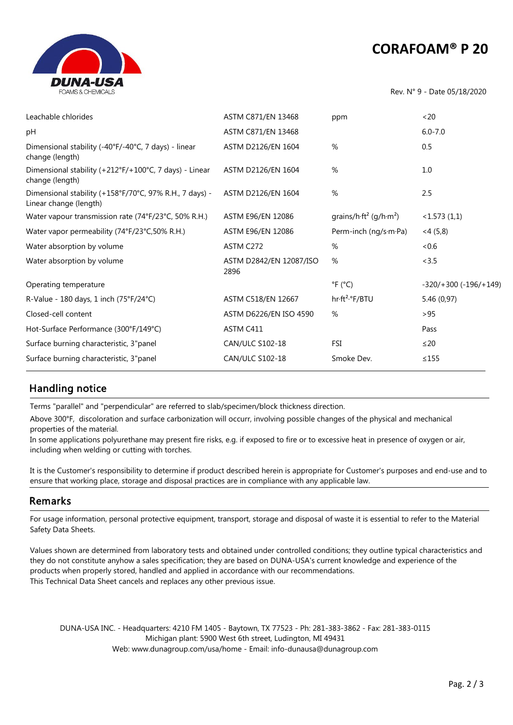## **CORAFOAM® P 20**



Rev. N° 9 - Date 05/18/2020

| Leachable chlorides                                                               | ASTM C871/EN 13468              | ppm                                                            | <20                         |
|-----------------------------------------------------------------------------------|---------------------------------|----------------------------------------------------------------|-----------------------------|
| pH                                                                                | ASTM C871/EN 13468              |                                                                | $6.0 - 7.0$                 |
| Dimensional stability (-40°F/-40°C, 7 days) - linear<br>change (length)           | ASTM D2126/EN 1604              | %                                                              | 0.5                         |
| Dimensional stability (+212°F/+100°C, 7 days) - Linear<br>change (length)         | ASTM D2126/EN 1604              | %                                                              | 1.0                         |
| Dimensional stability (+158°F/70°C, 97% R.H., 7 days) -<br>Linear change (length) | ASTM D2126/EN 1604              | %                                                              | 2.5                         |
| Water vapour transmission rate (74°F/23°C, 50% R.H.)                              | ASTM E96/EN 12086               | grains/h $\cdot$ ft <sup>2</sup> (g/h $\cdot$ m <sup>2</sup> ) | <1.573(1,1)                 |
| Water vapor permeability (74°F/23°C,50% R.H.)                                     | ASTM E96/EN 12086               | Perm-inch (ng/s·m·Pa)                                          | $<$ 4 (5,8)                 |
| Water absorption by volume                                                        | ASTM C272                       | %                                                              | <0.6                        |
| Water absorption by volume                                                        | ASTM D2842/EN 12087/ISO<br>2896 | %                                                              | < 3.5                       |
| Operating temperature                                                             |                                 | $\degree$ F ( $\degree$ C)                                     | $-320/+300$ ( $-196/+149$ ) |
| R-Value - 180 days, 1 inch (75°F/24°C)                                            | ASTM C518/EN 12667              | hr·ft <sup>2</sup> .°F/BTU                                     | 5.46 (0,97)                 |
| Closed-cell content                                                               | ASTM D6226/EN ISO 4590          | %                                                              | >95                         |
| Hot-Surface Performance (300°F/149°C)                                             | ASTM C411                       |                                                                | Pass                        |
| Surface burning characteristic, 3"panel                                           | CAN/ULC S102-18                 | FSI                                                            | $\leq$ 20                   |
| Surface burning characteristic, 3"panel                                           | CAN/ULC S102-18                 | Smoke Dev.                                                     | $\leq 155$                  |

#### Handling notice

Terms "parallel" and "perpendicular" are referred to slab/specimen/block thickness direction.

Above 300°F, discoloration and surface carbonization will occurr, involving possible changes of the physical and mechanical properties of the material.

In some applications polyurethane may present fire risks, e.g. if exposed to fire or to excessive heat in presence of oxygen or air, including when welding or cutting with torches.

It is the Customer's responsibility to determine if product described herein is appropriate for Customer's purposes and end-use and to ensure that working place, storage and disposal practices are in compliance with any applicable law.

#### Remarks

For usage information, personal protective equipment, transport, storage and disposal of waste it is essential to refer to the Material Safety Data Sheets.

Values shown are determined from laboratory tests and obtained under controlled conditions; they outline typical characteristics and they do not constitute anyhow a sales specification; they are based on DUNA-USA's current knowledge and experience of the products when properly stored, handled and applied in accordance with our recommendations. This Technical Data Sheet cancels and replaces any other previous issue.

DUNA-USA INC. - Headquarters: 4210 FM 1405 - Baytown, TX 77523 - Ph: 281-383-3862 - Fax: 281-383-0115 Michigan plant: 5900 West 6th street, Ludington, MI 49431 Web: www.dunagroup.com/usa/home - Email: info-dunausa@dunagroup.com